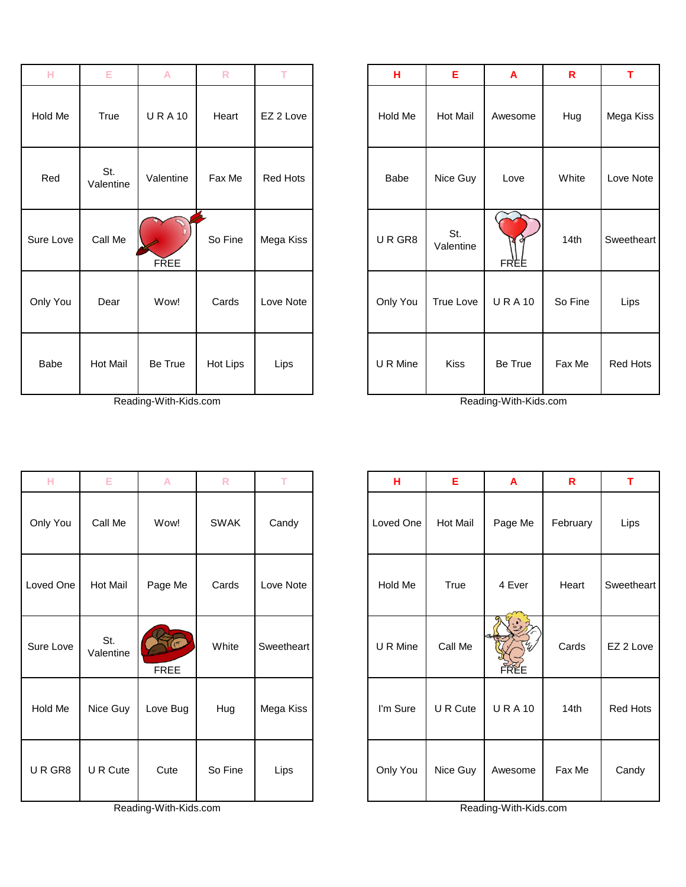| н         | Е                | A            | $\mathsf{R}$ | T.        | н        | Ε                | $\mathbf{A}$     | $\mathsf{R}$ | T             |
|-----------|------------------|--------------|--------------|-----------|----------|------------------|------------------|--------------|---------------|
| Hold Me   | True             | <b>URA10</b> | Heart        | EZ 2 Love | Hold Me  | Hot Mail         | Awesome          | Hug          | Mega k        |
| Red       | St.<br>Valentine | Valentine    | Fax Me       | Red Hots  | Babe     | Nice Guy         | Love             | White        | Love N        |
| Sure Love | Call Me          | <b>FREE</b>  | So Fine      | Mega Kiss | URGR8    | St.<br>Valentine | <b>o</b><br>FREE | 14th         | <b>Sweeth</b> |
| Only You  | Dear             | Wow!         | Cards        | Love Note | Only You | <b>True Love</b> | <b>URA10</b>     | So Fine      | Lips          |
| Babe      | Hot Mail         | Be True      | Hot Lips     | Lips      | U R Mine | <b>Kiss</b>      | Be True          | Fax Me       | Red H         |

Reading-With-Kids.com Reading-With-Kids.com

| н         | E                | A            | $\mathsf{R}$ | T         | н        | Е                | A            | $\mathsf{R}$ | T          |
|-----------|------------------|--------------|--------------|-----------|----------|------------------|--------------|--------------|------------|
| Hold Me   | True             | <b>URA10</b> | Heart        | EZ 2 Love | Hold Me  | <b>Hot Mail</b>  | Awesome      | Hug          | Mega Kiss  |
| Red       | St.<br>Valentine | Valentine    | Fax Me       | Red Hots  | Babe     | Nice Guy         | Love         | White        | Love Note  |
| Sure Love | Call Me          | <b>FREE</b>  | So Fine      | Mega Kiss | URGR8    | St.<br>Valentine | FREE         | 14th         | Sweetheart |
| Only You  | Dear             | Wow!         | Cards        | Love Note | Only You | <b>True Love</b> | <b>URA10</b> | So Fine      | Lips       |
| Babe      | Hot Mail         | Be True      | Hot Lips     | Lips      | U R Mine | <b>Kiss</b>      | Be True      | Fax Me       | Red Hots   |

| н         | Е                | A           | $\mathsf{R}$ | т          | н         | Е        | A            | R        | T          |
|-----------|------------------|-------------|--------------|------------|-----------|----------|--------------|----------|------------|
| Only You  | Call Me          | Wow!        | <b>SWAK</b>  | Candy      | Loved One | Hot Mail | Page Me      | February | Lips       |
| Loved One | Hot Mail         | Page Me     | Cards        | Love Note  | Hold Me   | True     | 4 Ever       | Heart    | Sweetheart |
| Sure Love | St.<br>Valentine | <b>FREE</b> | White        | Sweetheart | U R Mine  | Call Me  | FREE         | Cards    | EZ 2 Love  |
| Hold Me   | Nice Guy         | Love Bug    | Hug          | Mega Kiss  | I'm Sure  | U R Cute | <b>URA10</b> | 14th     | Red Hots   |
| URGR8     | U R Cute         | Cute        | So Fine      | Lips       | Only You  | Nice Guy | Awesome      | Fax Me   | Candy      |

Г

| н         | E                | А                       | ĸ           |            | н.        | ь        | A                     | ĸ        |               |
|-----------|------------------|-------------------------|-------------|------------|-----------|----------|-----------------------|----------|---------------|
| Only You  | Call Me          | Wow!                    | <b>SWAK</b> | Candy      | Loved One | Hot Mail | Page Me               | February | Lips          |
| Loved One | <b>Hot Mail</b>  | Page Me                 | Cards       | Love Note  | Hold Me   | True     | 4 Ever                | Heart    | <b>Sweeth</b> |
| Sure Love | St.<br>Valentine | $\sigma$<br><b>FREE</b> | White       | Sweetheart | U R Mine  | Call Me  | <b>FREE</b>           | Cards    | EZ2L          |
| Hold Me   | Nice Guy         | Love Bug                | Hug         | Mega Kiss  | I'm Sure  | U R Cute | <b>URA10</b>          | 14th     | Red H         |
| URGR8     | U R Cute         | Cute                    | So Fine     | Lips       | Only You  | Nice Guy | Awesome               | Fax Me   | Cand          |
|           |                  | Reading-With-Kids.com   |             |            |           |          | Reading-With-Kids.com |          |               |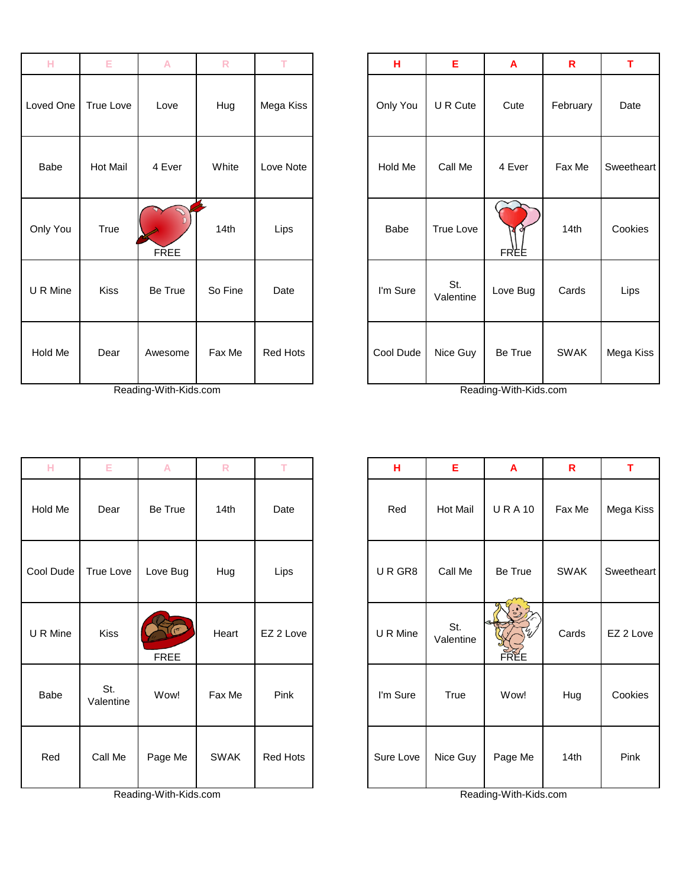| н         | Е           | A           | $\mathsf R$ | T.              | н         | E                | A                | $\mathbf R$ | T.             |
|-----------|-------------|-------------|-------------|-----------------|-----------|------------------|------------------|-------------|----------------|
| Loved One | True Love   | Love        | Hug         | Mega Kiss       | Only You  | U R Cute         | Cute             | February    | Date           |
| Babe      | Hot Mail    | 4 Ever      | White       | Love Note       | Hold Me   | Call Me          | 4 Ever           | Fax Me      | <b>Sweethe</b> |
| Only You  | True        | <b>FREE</b> | 14th        | Lips            | Babe      | True Love        | <b>O</b><br>FREE | 14th        | Cookie         |
| U R Mine  | <b>Kiss</b> | Be True     | So Fine     | Date            | I'm Sure  | St.<br>Valentine | Love Bug         | Cards       | Lips           |
| Hold Me   | Dear        | Awesome     | Fax Me      | <b>Red Hots</b> | Cool Dude | Nice Guy         | Be True          | <b>SWAK</b> | Mega K         |

| .        |                 |                       | <b>ALC 1999</b> |           | . .       |                  | л.                    | . .         |            |
|----------|-----------------|-----------------------|-----------------|-----------|-----------|------------------|-----------------------|-------------|------------|
| oved One | True Love       | Love                  | Hug             | Mega Kiss | Only You  | U R Cute         | Cute                  | February    | Date       |
| Babe     | <b>Hot Mail</b> | 4 Ever                | White           | Love Note | Hold Me   | Call Me          | 4 Ever                | Fax Me      | Sweetheart |
| Only You | True            | <b>FREE</b>           | 14th            | Lips      | Babe      | True Love        | FREE                  | 14th        | Cookies    |
| J R Mine | Kiss            | Be True               | So Fine         | Date      | I'm Sure  | St.<br>Valentine | Love Bug              | Cards       | Lips       |
| Hold Me  | Dear            | Awesome               | Fax Me          | Red Hots  | Cool Dude | Nice Guy         | Be True               | <b>SWAK</b> | Mega Kiss  |
|          |                 | Reading-With-Kids.com |                 |           |           |                  | Reading-With-Kids.com |             |            |

| H         | E                | A           | $\overline{\mathsf{R}}$ | T         | н         | E                | $\overline{A}$ | $\mathbf R$ | T          |
|-----------|------------------|-------------|-------------------------|-----------|-----------|------------------|----------------|-------------|------------|
| Hold Me   | Dear             | Be True     | 14th                    | Date      | Red       | Hot Mail         | <b>URA10</b>   | Fax Me      | Mega Kiss  |
| Cool Dude | True Love        | Love Bug    | Hug                     | Lips      | URGR8     | Call Me          | Be True        | <b>SWAK</b> | Sweetheart |
| U R Mine  | Kiss             | <b>FREE</b> | Heart                   | EZ 2 Love | U R Mine  | St.<br>Valentine | FREE           | Cards       | EZ 2 Love  |
| Babe      | St.<br>Valentine | Wow!        | Fax Me                  | Pink      | I'm Sure  | <b>True</b>      | Wow!           | Hug         | Cookies    |
| Red       | Call Me          | Page Me     | <b>SWAK</b>             | Red Hots  | Sure Love | Nice Guy         | Page Me        | 14th        | Pink       |

| Hold Me   | Dear             | Be True               | 14th        | Date            | Red       | <b>Hot Mail</b>  | <b>URA10</b>          | Fa:          |
|-----------|------------------|-----------------------|-------------|-----------------|-----------|------------------|-----------------------|--------------|
| Cool Dude | <b>True Love</b> | Love Bug              | Hug         | Lips            | URGR8     | Call Me          | Be True               | <b>SV</b>    |
| U R Mine  | Kiss             | <b>FREE</b>           | Heart       | EZ 2 Love       | U R Mine  | St.<br>Valentine | <b>FREE</b>           | $C\epsilon$  |
| Babe      | St.<br>Valentine | Wow!                  | Fax Me      | Pink            | I'm Sure  | True             | Wow!                  | $\mathsf{H}$ |
| Red       | Call Me          | Page Me               | <b>SWAK</b> | <b>Red Hots</b> | Sure Love | Nice Guy         | Page Me               | $\mathbf{1}$ |
|           |                  | Reading-With-Kids.com |             |                 |           |                  | Reading-With-Kids.com |              |